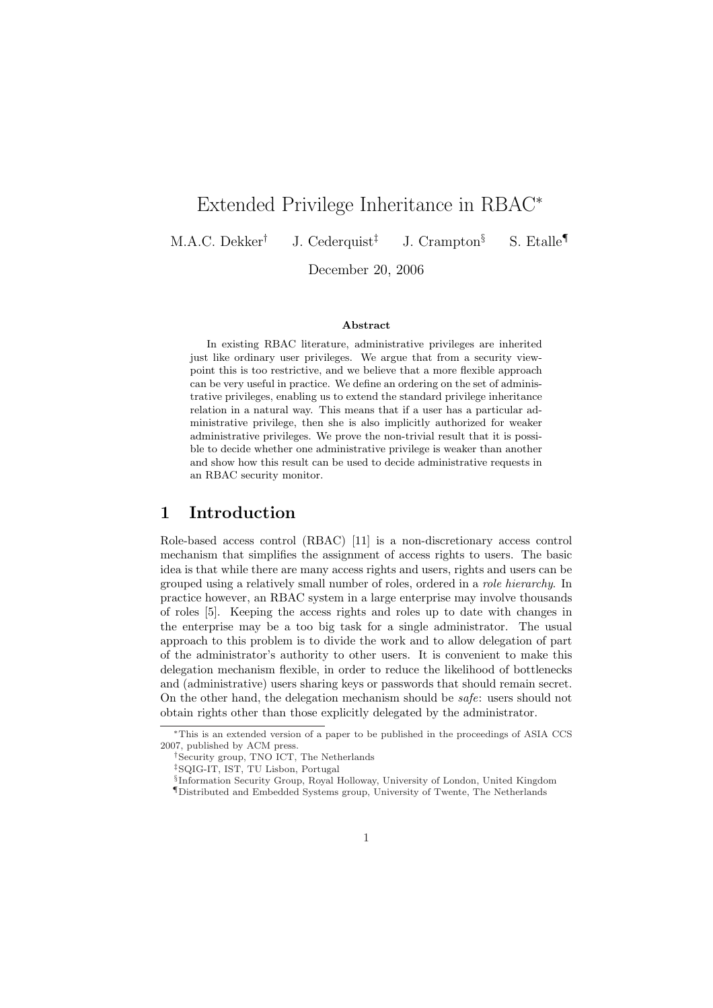# Extended Privilege Inheritance in RBAC<sup>∗</sup>

M.A.C. Dekker† J. Cederquist‡ J. Crampton§ S. Etalle¶

December 20, 2006

#### Abstract

In existing RBAC literature, administrative privileges are inherited just like ordinary user privileges. We argue that from a security viewpoint this is too restrictive, and we believe that a more flexible approach can be very useful in practice. We define an ordering on the set of administrative privileges, enabling us to extend the standard privilege inheritance relation in a natural way. This means that if a user has a particular administrative privilege, then she is also implicitly authorized for weaker administrative privileges. We prove the non-trivial result that it is possible to decide whether one administrative privilege is weaker than another and show how this result can be used to decide administrative requests in an RBAC security monitor.

### 1 Introduction

Role-based access control (RBAC) [11] is a non-discretionary access control mechanism that simplifies the assignment of access rights to users. The basic idea is that while there are many access rights and users, rights and users can be grouped using a relatively small number of roles, ordered in a role hierarchy. In practice however, an RBAC system in a large enterprise may involve thousands of roles [5]. Keeping the access rights and roles up to date with changes in the enterprise may be a too big task for a single administrator. The usual approach to this problem is to divide the work and to allow delegation of part of the administrator's authority to other users. It is convenient to make this delegation mechanism flexible, in order to reduce the likelihood of bottlenecks and (administrative) users sharing keys or passwords that should remain secret. On the other hand, the delegation mechanism should be safe: users should not obtain rights other than those explicitly delegated by the administrator.

<sup>∗</sup>This is an extended version of a paper to be published in the proceedings of ASIA CCS 2007, published by ACM press.

<sup>†</sup>Security group, TNO ICT, The Netherlands

<sup>‡</sup>SQIG-IT, IST, TU Lisbon, Portugal

<sup>§</sup> Information Security Group, Royal Holloway, University of London, United Kingdom

<sup>¶</sup>Distributed and Embedded Systems group, University of Twente, The Netherlands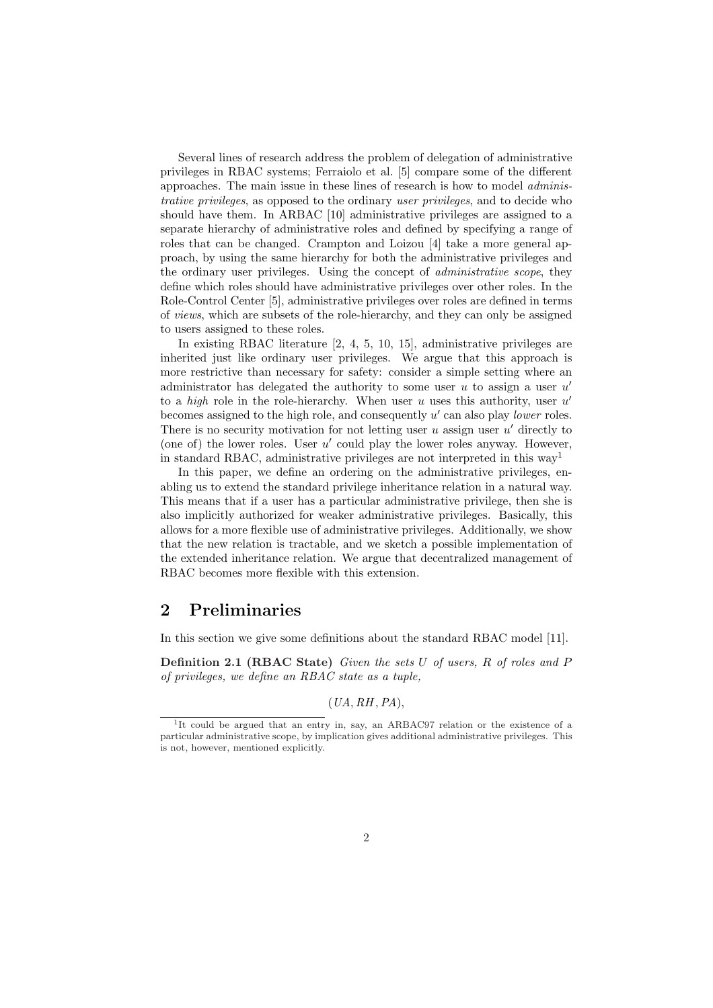Several lines of research address the problem of delegation of administrative privileges in RBAC systems; Ferraiolo et al. [5] compare some of the different approaches. The main issue in these lines of research is how to model administrative privileges, as opposed to the ordinary user privileges, and to decide who should have them. In ARBAC [10] administrative privileges are assigned to a separate hierarchy of administrative roles and defined by specifying a range of roles that can be changed. Crampton and Loizou [4] take a more general approach, by using the same hierarchy for both the administrative privileges and the ordinary user privileges. Using the concept of administrative scope, they define which roles should have administrative privileges over other roles. In the Role-Control Center [5], administrative privileges over roles are defined in terms of views, which are subsets of the role-hierarchy, and they can only be assigned to users assigned to these roles.

In existing RBAC literature [2, 4, 5, 10, 15], administrative privileges are inherited just like ordinary user privileges. We argue that this approach is more restrictive than necessary for safety: consider a simple setting where an administrator has delegated the authority to some user  $u$  to assign a user  $u'$ to a *high* role in the role-hierarchy. When user  $u$  uses this authority, user  $u'$ becomes assigned to the high role, and consequently  $u'$  can also play lower roles. There is no security motivation for not letting user  $u$  assign user  $u'$  directly to (one of) the lower roles. User  $u'$  could play the lower roles anyway. However, in standard RBAC, administrative privileges are not interpreted in this way<sup>1</sup>

In this paper, we define an ordering on the administrative privileges, enabling us to extend the standard privilege inheritance relation in a natural way. This means that if a user has a particular administrative privilege, then she is also implicitly authorized for weaker administrative privileges. Basically, this allows for a more flexible use of administrative privileges. Additionally, we show that the new relation is tractable, and we sketch a possible implementation of the extended inheritance relation. We argue that decentralized management of RBAC becomes more flexible with this extension.

# 2 Preliminaries

In this section we give some definitions about the standard RBAC model [11].

Definition 2.1 (RBAC State) Given the sets U of users, R of roles and P of privileges, we define an RBAC state as a tuple,

 $(UA, RH, PA),$ 

<sup>&</sup>lt;sup>1</sup>It could be argued that an entry in, say, an ARBAC97 relation or the existence of a particular administrative scope, by implication gives additional administrative privileges. This is not, however, mentioned explicitly.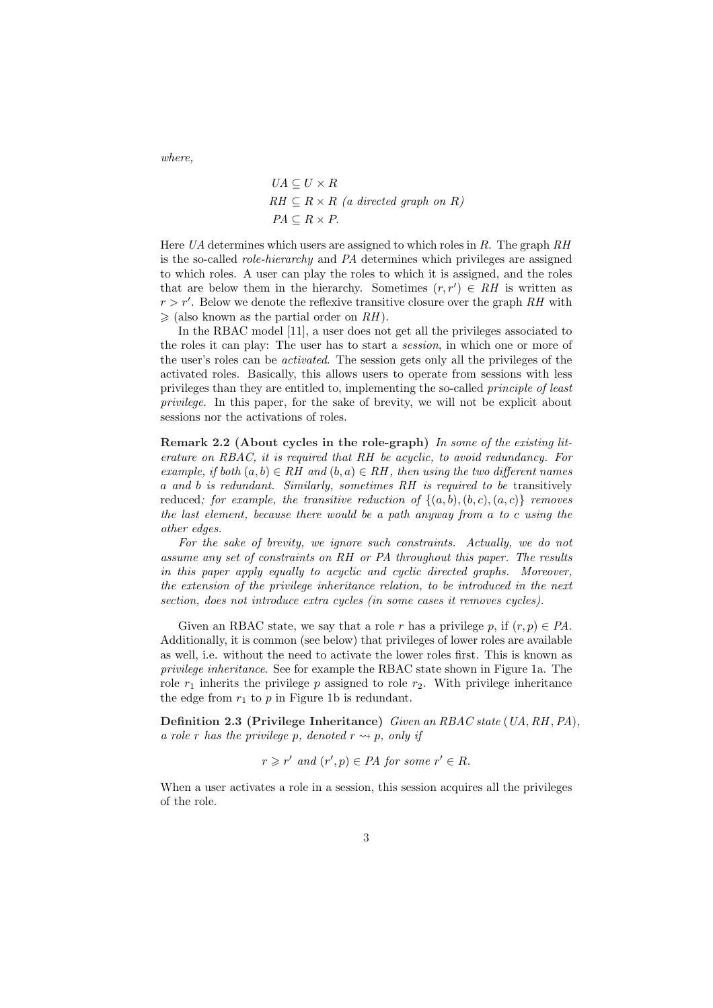where,

$$
UA \subseteq U \times R
$$
  
 
$$
RH \subseteq R \times R \text{ (a directed graph on } R)
$$
  
 
$$
PA \subseteq R \times P.
$$

Here UA determines which users are assigned to which roles in R. The graph  $RH$ is the so-called role-hierarchy and PA determines which privileges are assigned to which roles. A user can play the roles to which it is assigned, and the roles that are below them in the hierarchy. Sometimes  $(r, r') \in RH$  is written as  $r > r'$ . Below we denote the reflexive transitive closure over the graph RH with  $\geq$  (also known as the partial order on RH).

In the RBAC model [11], a user does not get all the privileges associated to the roles it can play: The user has to start a session, in which one or more of the user's roles can be activated. The session gets only all the privileges of the activated roles. Basically, this allows users to operate from sessions with less privileges than they are entitled to, implementing the so-called principle of least privilege. In this paper, for the sake of brevity, we will not be explicit about sessions nor the activations of roles.

Remark 2.2 (About cycles in the role-graph) In some of the existing literature on RBAC, it is required that RH be acyclic, to avoid redundancy. For example, if both  $(a, b) \in RH$  and  $(b, a) \in RH$ , then using the two different names a and b is redundant. Similarly, sometimes RH is required to be transitively reduced; for example, the transitive reduction of  $\{(a, b), (b, c), (a, c)\}\$  removes the last element, because there would be a path anyway from a to c using the other edges.

For the sake of brevity, we ignore such constraints. Actually, we do not assume any set of constraints on RH or PA throughout this paper. The results in this paper apply equally to acyclic and cyclic directed graphs. Moreover, the extension of the privilege inheritance relation, to be introduced in the next section, does not introduce extra cycles (in some cases it removes cycles).

Given an RBAC state, we say that a role r has a privilege p, if  $(r, p) \in PA$ . Additionally, it is common (see below) that privileges of lower roles are available as well, i.e. without the need to activate the lower roles first. This is known as privilege inheritance. See for example the RBAC state shown in Figure 1a. The role  $r_1$  inherits the privilege p assigned to role  $r_2$ . With privilege inheritance the edge from  $r_1$  to  $p$  in Figure 1b is redundant.

Definition 2.3 (Privilege Inheritance) Given an RBAC state (UA, RH, PA), a role r has the privilege p, denoted  $r \rightarrow p$ , only if

$$
r \geq r'
$$
 and  $(r', p) \in PA$  for some  $r' \in R$ .

 $\sim$ 

When a user activates a role in a session, this session acquires all the privileges of the role.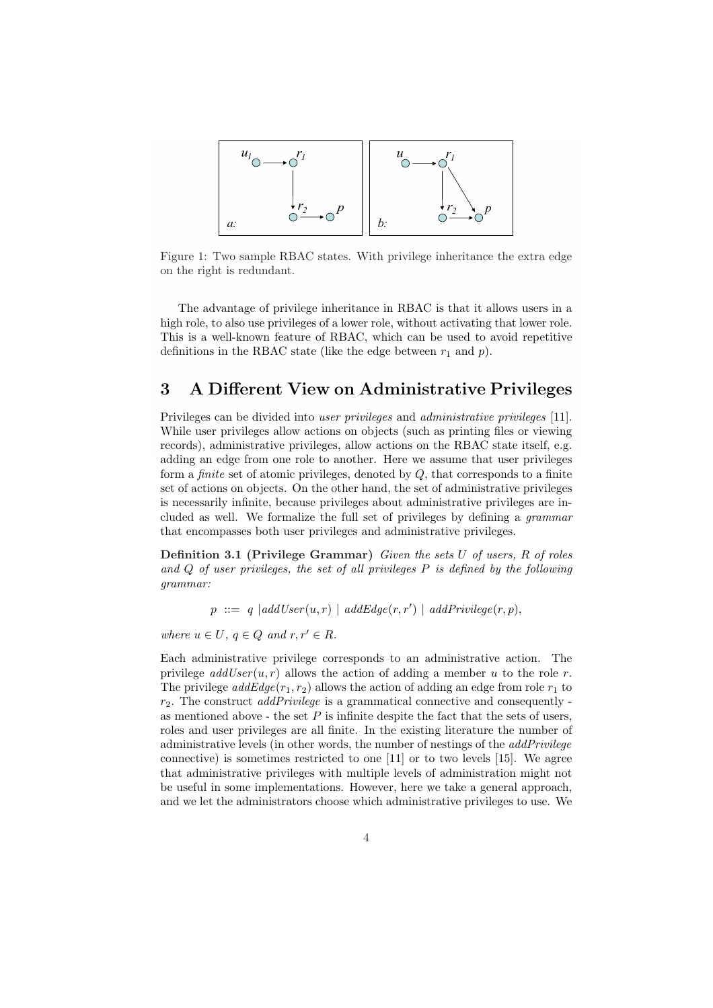

Figure 1: Two sample RBAC states. With privilege inheritance the extra edge on the right is redundant.

The advantage of privilege inheritance in RBAC is that it allows users in a high role, to also use privileges of a lower role, without activating that lower role. This is a well-known feature of RBAC, which can be used to avoid repetitive definitions in the RBAC state (like the edge between  $r_1$  and  $p$ ).

# 3 A Different View on Administrative Privileges

Privileges can be divided into user privileges and administrative privileges [11]. While user privileges allow actions on objects (such as printing files or viewing records), administrative privileges, allow actions on the RBAC state itself, e.g. adding an edge from one role to another. Here we assume that user privileges form a *finite* set of atomic privileges, denoted by  $Q$ , that corresponds to a finite set of actions on objects. On the other hand, the set of administrative privileges is necessarily infinite, because privileges about administrative privileges are included as well. We formalize the full set of privileges by defining a grammar that encompasses both user privileges and administrative privileges.

Definition 3.1 (Privilege Grammar) Given the sets U of users, R of roles and  $Q$  of user privileges, the set of all privileges  $P$  is defined by the following grammar:

 $p ::= q | addUser(u,r) | addEdge(r,r') | addPrivilege(r,p),$ 

where  $u \in U$ ,  $q \in Q$  and  $r, r' \in R$ .

Each administrative privilege corresponds to an administrative action. The privilege  $addUser(u, r)$  allows the action of adding a member u to the role r. The privilege  $addEdge(r_1, r_2)$  allows the action of adding an edge from role  $r_1$  to  $r<sub>2</sub>$ . The construct *addPrivilege* is a grammatical connective and consequently as mentioned above - the set  $P$  is infinite despite the fact that the sets of users, roles and user privileges are all finite. In the existing literature the number of administrative levels (in other words, the number of nestings of the addPrivilege connective) is sometimes restricted to one [11] or to two levels [15]. We agree that administrative privileges with multiple levels of administration might not be useful in some implementations. However, here we take a general approach, and we let the administrators choose which administrative privileges to use. We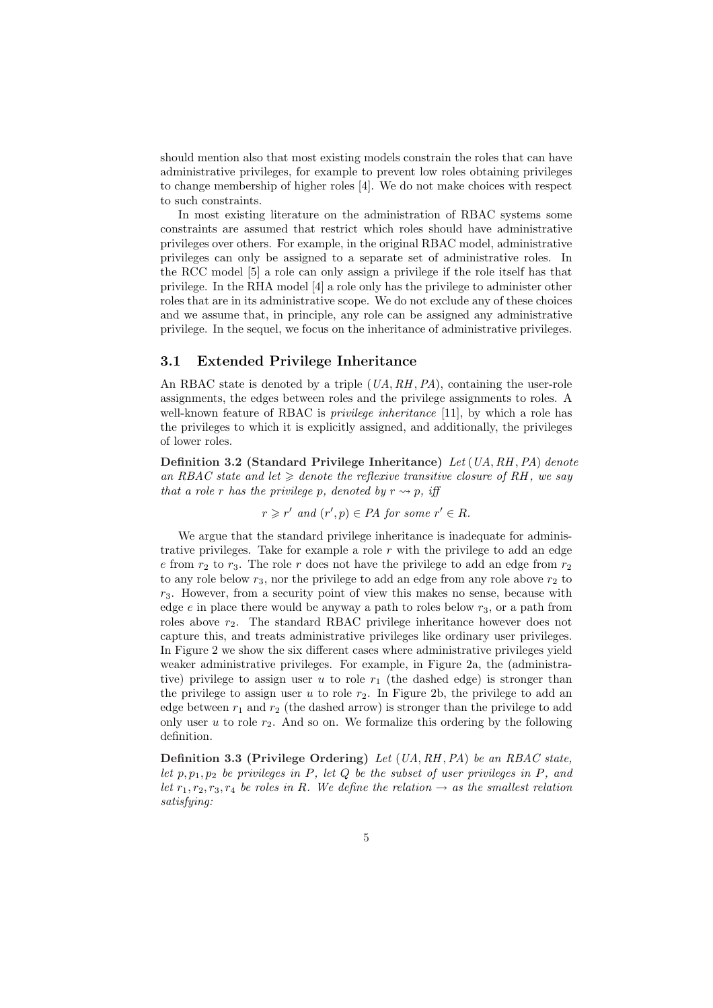should mention also that most existing models constrain the roles that can have administrative privileges, for example to prevent low roles obtaining privileges to change membership of higher roles [4]. We do not make choices with respect to such constraints.

In most existing literature on the administration of RBAC systems some constraints are assumed that restrict which roles should have administrative privileges over others. For example, in the original RBAC model, administrative privileges can only be assigned to a separate set of administrative roles. In the RCC model [5] a role can only assign a privilege if the role itself has that privilege. In the RHA model [4] a role only has the privilege to administer other roles that are in its administrative scope. We do not exclude any of these choices and we assume that, in principle, any role can be assigned any administrative privilege. In the sequel, we focus on the inheritance of administrative privileges.

#### 3.1 Extended Privilege Inheritance

An RBAC state is denoted by a triple  $(UA, RH, PA)$ , containing the user-role assignments, the edges between roles and the privilege assignments to roles. A well-known feature of RBAC is *privilege inheritance* [11], by which a role has the privileges to which it is explicitly assigned, and additionally, the privileges of lower roles.

Definition 3.2 (Standard Privilege Inheritance) Let (UA, RH ,PA) denote an RBAC state and let  $\geqslant$  denote the reflexive transitive closure of RH, we say that a role r has the privilege p, denoted by  $r \rightarrow p$ , iff

$$
r \geq r'
$$
 and  $(r', p) \in PA$  for some  $r' \in R$ .

We argue that the standard privilege inheritance is inadequate for administrative privileges. Take for example a role  $r$  with the privilege to add an edge e from  $r_2$  to  $r_3$ . The role r does not have the privilege to add an edge from  $r_2$ to any role below  $r_3$ , nor the privilege to add an edge from any role above  $r_2$  to  $r<sub>3</sub>$ . However, from a security point of view this makes no sense, because with edge  $e$  in place there would be anyway a path to roles below  $r_3$ , or a path from roles above  $r_2$ . The standard RBAC privilege inheritance however does not capture this, and treats administrative privileges like ordinary user privileges. In Figure 2 we show the six different cases where administrative privileges yield weaker administrative privileges. For example, in Figure 2a, the (administrative) privilege to assign user u to role  $r_1$  (the dashed edge) is stronger than the privilege to assign user u to role  $r_2$ . In Figure 2b, the privilege to add an edge between  $r_1$  and  $r_2$  (the dashed arrow) is stronger than the privilege to add only user u to role  $r_2$ . And so on. We formalize this ordering by the following definition.

Definition 3.3 (Privilege Ordering) Let  $(UA, RH, PA)$  be an RBAC state, let  $p, p_1, p_2$  be privileges in P, let Q be the subset of user privileges in P, and let  $r_1, r_2, r_3, r_4$  be roles in R. We define the relation  $\rightarrow$  as the smallest relation satisfying: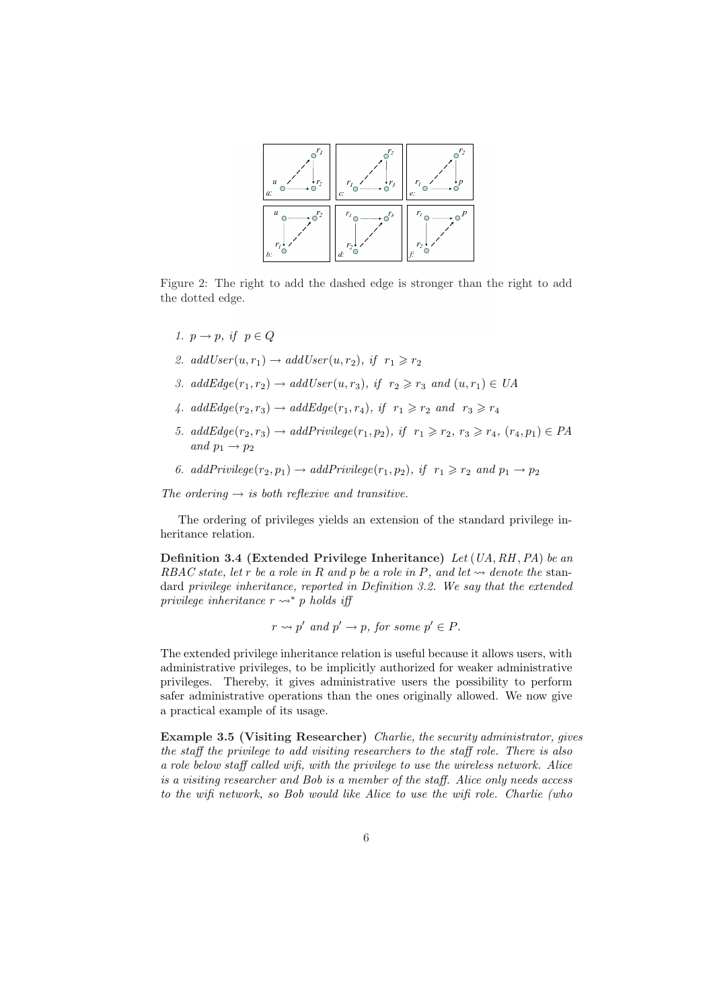

Figure 2: The right to add the dashed edge is stronger than the right to add the dotted edge.

- 1.  $p \rightarrow p$ , if  $p \in Q$
- 2. addUser $(u, r_1) \rightarrow addUser(u, r_2)$ , if  $r_1 \ge r_2$
- 3. addEdge( $r_1, r_2$ )  $\rightarrow$  addUser( $u, r_3$ ), if  $r_2 \ge r_3$  and  $(u, r_1) \in UA$
- 4.  $addEdge(r_2, r_3) \rightarrow addEdge(r_1, r_4), \text{ if } r_1 \geq r_2 \text{ and } r_3 \geq r_4$
- 5.  $addEdge(r_2, r_3) \rightarrow addPrivilege(r_1, p_2), if r_1 \geq r_2, r_3 \geq r_4, (r_4, p_1) \in PA$ and  $p_1 \rightarrow p_2$
- 6. addPrivilege $(r_2, p_1) \rightarrow addPrivilege(r_1, p_2),$  if  $r_1 \ge r_2$  and  $p_1 \rightarrow p_2$

The ordering  $\rightarrow$  is both reflexive and transitive.

The ordering of privileges yields an extension of the standard privilege inheritance relation.

Definition 3.4 (Extended Privilege Inheritance) Let (UA, RH ,PA) be an RBAC state, let r be a role in R and p be a role in P, and let  $\rightsquigarrow$  denote the standard privilege inheritance, reported in Definition 3.2. We say that the extended privilege inheritance  $r \leftrightarrow^* p$  holds iff

$$
r \rightsquigarrow p'
$$
 and  $p' \rightarrow p$ , for some  $p' \in P$ .

The extended privilege inheritance relation is useful because it allows users, with administrative privileges, to be implicitly authorized for weaker administrative privileges. Thereby, it gives administrative users the possibility to perform safer administrative operations than the ones originally allowed. We now give a practical example of its usage.

Example 3.5 (Visiting Researcher) Charlie, the security administrator, gives the staff the privilege to add visiting researchers to the staff role. There is also a role below staff called wifi, with the privilege to use the wireless network. Alice is a visiting researcher and Bob is a member of the staff. Alice only needs access to the wifi network, so Bob would like Alice to use the wifi role. Charlie (who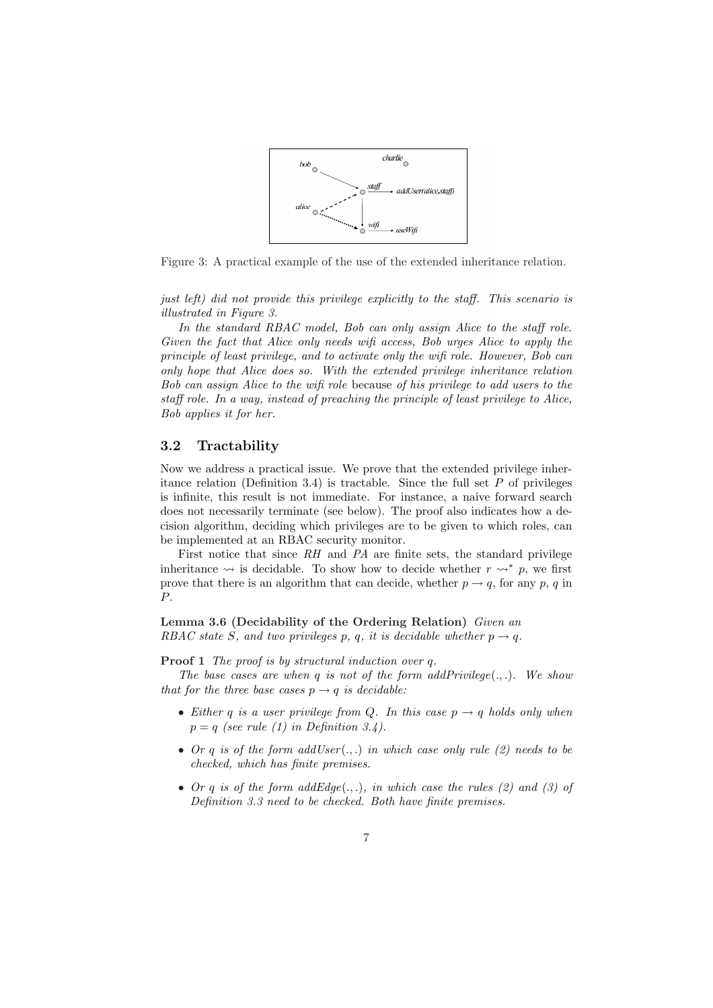

Figure 3: A practical example of the use of the extended inheritance relation.

just left) did not provide this privilege explicitly to the staff. This scenario is illustrated in Figure 3.

In the standard RBAC model, Bob can only assign Alice to the staff role. Given the fact that Alice only needs wifi access, Bob urges Alice to apply the principle of least privilege, and to activate only the wifi role. However, Bob can only hope that Alice does so. With the extended privilege inheritance relation Bob can assign Alice to the wifi role because of his privilege to add users to the staff role. In a way, instead of preaching the principle of least privilege to Alice, Bob applies it for her.

#### 3.2 Tractability

Now we address a practical issue. We prove that the extended privilege inheritance relation (Definition 3.4) is tractable. Since the full set  $P$  of privileges is infinite, this result is not immediate. For instance, a naive forward search does not necessarily terminate (see below). The proof also indicates how a decision algorithm, deciding which privileges are to be given to which roles, can be implemented at an RBAC security monitor.

First notice that since  $RH$  and  $PA$  are finite sets, the standard privilege inheritance  $\rightsquigarrow$  is decidable. To show how to decide whether  $r \rightsquigarrow^* p$ , we first prove that there is an algorithm that can decide, whether  $p \rightarrow q$ , for any p, q in P.

Lemma 3.6 (Decidability of the Ordering Relation) Given an RBAC state S, and two privileges p, q, it is decidable whether  $p \rightarrow q$ .

Proof 1 The proof is by structural induction over q.

The base cases are when q is not of the form  $addPrivileq(\ldots)$ . We show that for the three base cases  $p \rightarrow q$  is decidable:

- Either q is a user privilege from Q. In this case  $p \rightarrow q$  holds only when  $p = q$  (see rule (1) in Definition 3.4).
- Or q is of the form addUser $(.,.)$  in which case only rule  $(2)$  needs to be checked, which has finite premises.
- Or q is of the form  $addEdge(.,.),$  in which case the rules (2) and (3) of Definition 3.3 need to be checked. Both have finite premises.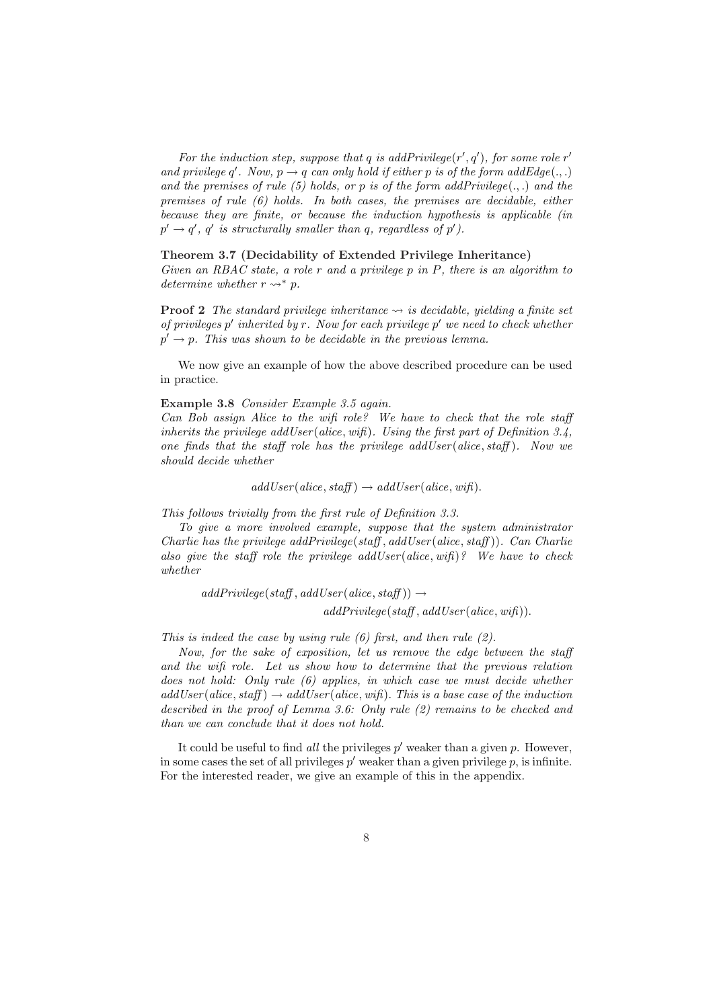For the induction step, suppose that q is addPrivilege( $r', q'$ ), for some role  $r'$ and privilege q'. Now,  $p \rightarrow q$  can only hold if either p is of the form addEdge(...) and the premises of rule (5) holds, or p is of the form addPrivilege(...) and the premises of rule (6) holds. In both cases, the premises are decidable, either because they are finite, or because the induction hypothesis is applicable (in  $p' \rightarrow q'$ , q' is structurally smaller than q, regardless of p').

#### Theorem 3.7 (Decidability of Extended Privilege Inheritance)

Given an RBAC state, a role  $r$  and a privilege  $p$  in  $P$ , there is an algorithm to determine whether  $r \rightsquigarrow^* p$ .

**Proof 2** The standard privilege inheritance  $\rightsquigarrow$  is decidable, yielding a finite set of privileges  $p'$  inherited by r. Now for each privilege  $p'$  we need to check whether  $p' \rightarrow p$ . This was shown to be decidable in the previous lemma.

We now give an example of how the above described procedure can be used in practice.

#### Example 3.8 Consider Example 3.5 again.

Can Bob assign Alice to the wifi role? We have to check that the role staff inherits the privilege addUser (alice, wifi). Using the first part of Definition 3.4, one finds that the staff role has the privilege addUser (alice, staff). Now we should decide whether

 $addUser(alice, staff) \rightarrow addUser(alice, wif).$ 

This follows trivially from the first rule of Definition 3.3.

To give a more involved example, suppose that the system administrator Charlie has the privilege  $addPrivate(staff, addUser(alice, staff))$ . Can Charlie also give the staff role the privilege addUser(alice, wifi)? We have to check whether

 $addPrivilege(staff, addUser(alice, staff)) \rightarrow$  $addPrivileae(staff, addUser(alice, wifi)).$ 

This is indeed the case by using rule  $(6)$  first, and then rule  $(2)$ .

Now, for the sake of exposition, let us remove the edge between the staff and the wifi role. Let us show how to determine that the previous relation does not hold: Only rule (6) applies, in which case we must decide whether  $addUser(alice, staff) \rightarrow addUser(alice, wif).$  This is a base case of the induction described in the proof of Lemma 3.6: Only rule (2) remains to be checked and than we can conclude that it does not hold.

It could be useful to find all the privileges  $p'$  weaker than a given p. However, in some cases the set of all privileges  $p'$  weaker than a given privilege  $p$ , is infinite. For the interested reader, we give an example of this in the appendix.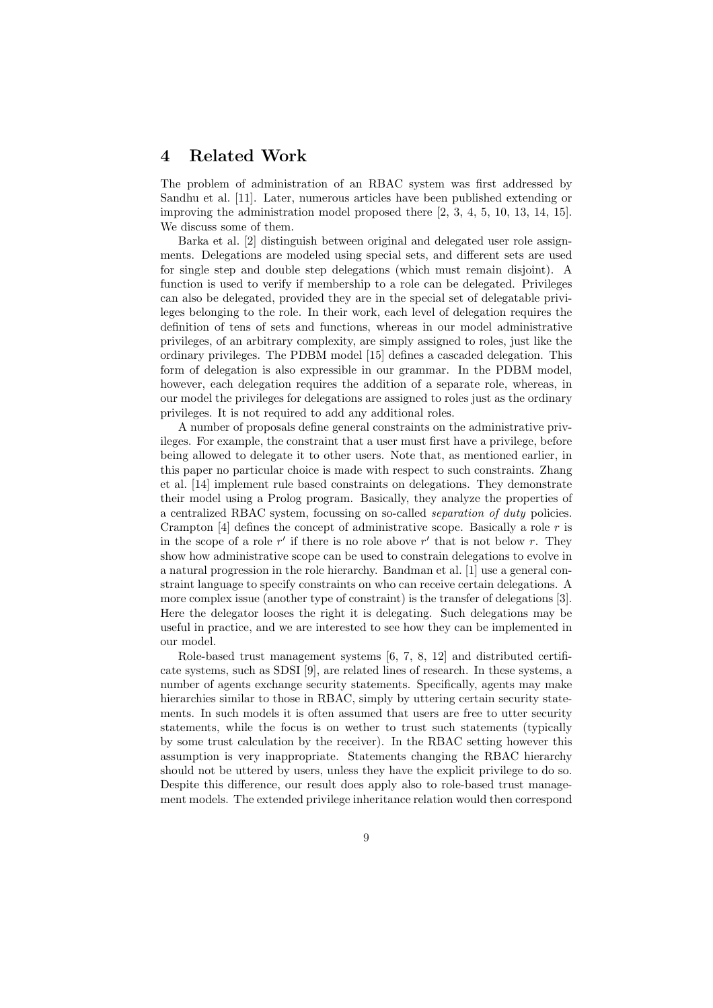### 4 Related Work

The problem of administration of an RBAC system was first addressed by Sandhu et al. [11]. Later, numerous articles have been published extending or improving the administration model proposed there [2, 3, 4, 5, 10, 13, 14, 15]. We discuss some of them.

Barka et al. [2] distinguish between original and delegated user role assignments. Delegations are modeled using special sets, and different sets are used for single step and double step delegations (which must remain disjoint). A function is used to verify if membership to a role can be delegated. Privileges can also be delegated, provided they are in the special set of delegatable privileges belonging to the role. In their work, each level of delegation requires the definition of tens of sets and functions, whereas in our model administrative privileges, of an arbitrary complexity, are simply assigned to roles, just like the ordinary privileges. The PDBM model [15] defines a cascaded delegation. This form of delegation is also expressible in our grammar. In the PDBM model, however, each delegation requires the addition of a separate role, whereas, in our model the privileges for delegations are assigned to roles just as the ordinary privileges. It is not required to add any additional roles.

A number of proposals define general constraints on the administrative privileges. For example, the constraint that a user must first have a privilege, before being allowed to delegate it to other users. Note that, as mentioned earlier, in this paper no particular choice is made with respect to such constraints. Zhang et al. [14] implement rule based constraints on delegations. They demonstrate their model using a Prolog program. Basically, they analyze the properties of a centralized RBAC system, focussing on so-called separation of duty policies. Crampton  $[4]$  defines the concept of administrative scope. Basically a role r is in the scope of a role  $r'$  if there is no role above  $r'$  that is not below r. They show how administrative scope can be used to constrain delegations to evolve in a natural progression in the role hierarchy. Bandman et al. [1] use a general constraint language to specify constraints on who can receive certain delegations. A more complex issue (another type of constraint) is the transfer of delegations [3]. Here the delegator looses the right it is delegating. Such delegations may be useful in practice, and we are interested to see how they can be implemented in our model.

Role-based trust management systems [6, 7, 8, 12] and distributed certificate systems, such as SDSI [9], are related lines of research. In these systems, a number of agents exchange security statements. Specifically, agents may make hierarchies similar to those in RBAC, simply by uttering certain security statements. In such models it is often assumed that users are free to utter security statements, while the focus is on wether to trust such statements (typically by some trust calculation by the receiver). In the RBAC setting however this assumption is very inappropriate. Statements changing the RBAC hierarchy should not be uttered by users, unless they have the explicit privilege to do so. Despite this difference, our result does apply also to role-based trust management models. The extended privilege inheritance relation would then correspond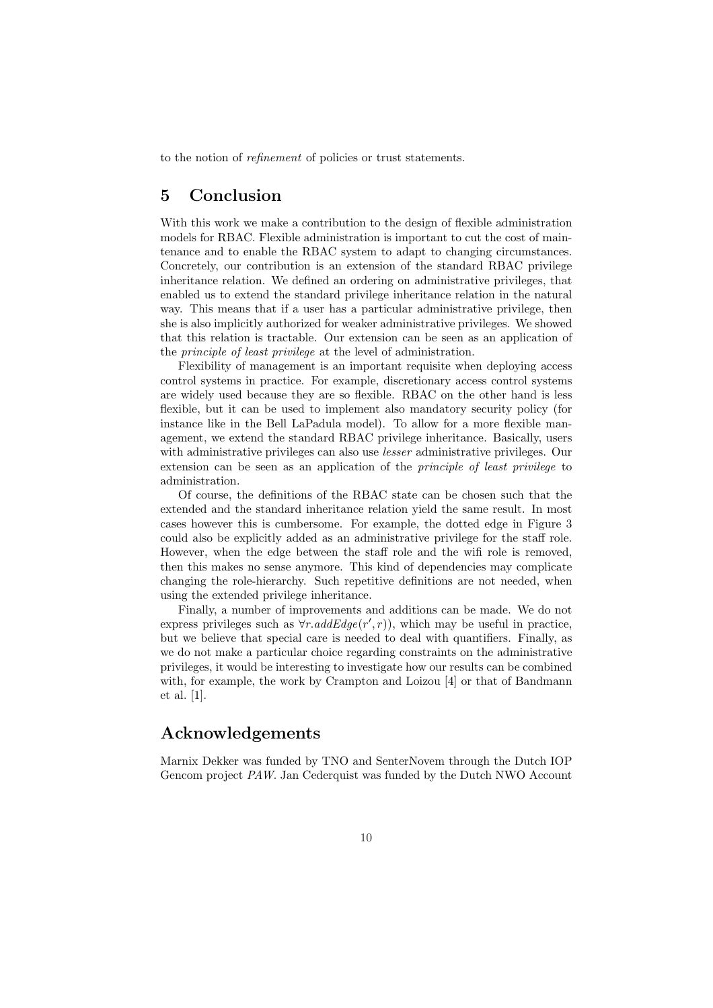to the notion of refinement of policies or trust statements.

## 5 Conclusion

With this work we make a contribution to the design of flexible administration models for RBAC. Flexible administration is important to cut the cost of maintenance and to enable the RBAC system to adapt to changing circumstances. Concretely, our contribution is an extension of the standard RBAC privilege inheritance relation. We defined an ordering on administrative privileges, that enabled us to extend the standard privilege inheritance relation in the natural way. This means that if a user has a particular administrative privilege, then she is also implicitly authorized for weaker administrative privileges. We showed that this relation is tractable. Our extension can be seen as an application of the principle of least privilege at the level of administration.

Flexibility of management is an important requisite when deploying access control systems in practice. For example, discretionary access control systems are widely used because they are so flexible. RBAC on the other hand is less flexible, but it can be used to implement also mandatory security policy (for instance like in the Bell LaPadula model). To allow for a more flexible management, we extend the standard RBAC privilege inheritance. Basically, users with administrative privileges can also use *lesser* administrative privileges. Our extension can be seen as an application of the principle of least privilege to administration.

Of course, the definitions of the RBAC state can be chosen such that the extended and the standard inheritance relation yield the same result. In most cases however this is cumbersome. For example, the dotted edge in Figure 3 could also be explicitly added as an administrative privilege for the staff role. However, when the edge between the staff role and the wifi role is removed, then this makes no sense anymore. This kind of dependencies may complicate changing the role-hierarchy. Such repetitive definitions are not needed, when using the extended privilege inheritance.

Finally, a number of improvements and additions can be made. We do not express privileges such as  $\forall r \cdot addEdge(r', r)$ , which may be useful in practice, but we believe that special care is needed to deal with quantifiers. Finally, as we do not make a particular choice regarding constraints on the administrative privileges, it would be interesting to investigate how our results can be combined with, for example, the work by Crampton and Loizou [4] or that of Bandmann et al. [1].

### Acknowledgements

Marnix Dekker was funded by TNO and SenterNovem through the Dutch IOP Gencom project PAW. Jan Cederquist was funded by the Dutch NWO Account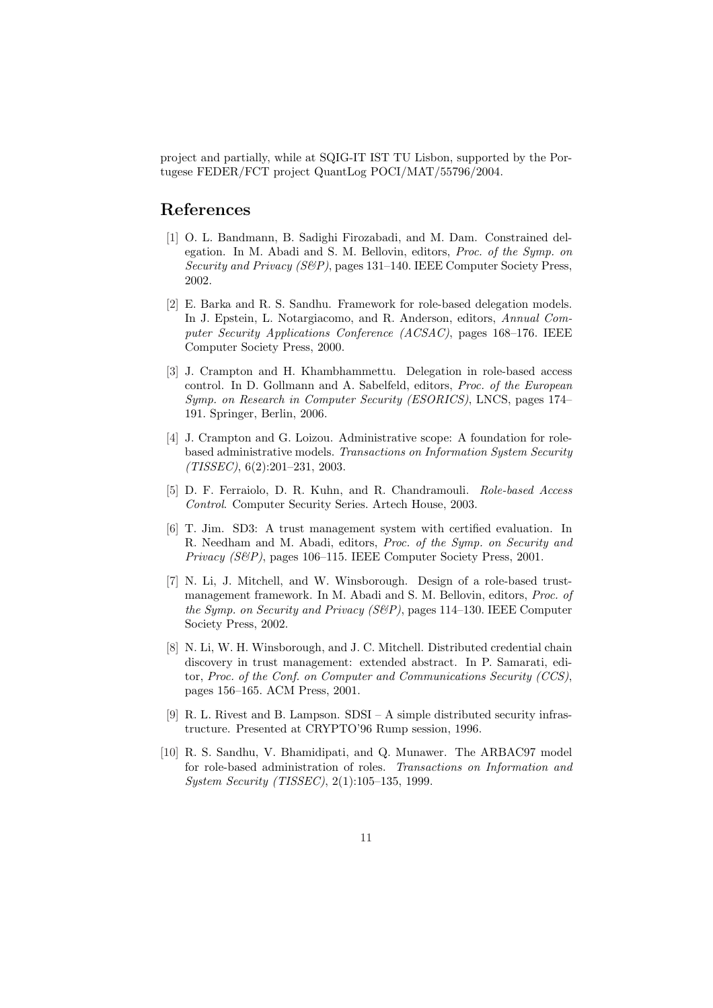project and partially, while at SQIG-IT IST TU Lisbon, supported by the Portugese FEDER/FCT project QuantLog POCI/MAT/55796/2004.

### References

- [1] O. L. Bandmann, B. Sadighi Firozabadi, and M. Dam. Constrained delegation. In M. Abadi and S. M. Bellovin, editors, Proc. of the Symp. on Security and Privacy (S&P), pages 131–140. IEEE Computer Society Press, 2002.
- [2] E. Barka and R. S. Sandhu. Framework for role-based delegation models. In J. Epstein, L. Notargiacomo, and R. Anderson, editors, Annual Computer Security Applications Conference (ACSAC), pages 168–176. IEEE Computer Society Press, 2000.
- [3] J. Crampton and H. Khambhammettu. Delegation in role-based access control. In D. Gollmann and A. Sabelfeld, editors, Proc. of the European Symp. on Research in Computer Security (ESORICS), LNCS, pages 174– 191. Springer, Berlin, 2006.
- [4] J. Crampton and G. Loizou. Administrative scope: A foundation for rolebased administrative models. Transactions on Information System Security (TISSEC), 6(2):201–231, 2003.
- [5] D. F. Ferraiolo, D. R. Kuhn, and R. Chandramouli. Role-based Access Control. Computer Security Series. Artech House, 2003.
- [6] T. Jim. SD3: A trust management system with certified evaluation. In R. Needham and M. Abadi, editors, Proc. of the Symp. on Security and Privacy (S&P), pages 106–115. IEEE Computer Society Press, 2001.
- [7] N. Li, J. Mitchell, and W. Winsborough. Design of a role-based trustmanagement framework. In M. Abadi and S. M. Bellovin, editors, Proc. of the Symp. on Security and Privacy (S&P), pages 114–130. IEEE Computer Society Press, 2002.
- [8] N. Li, W. H. Winsborough, and J. C. Mitchell. Distributed credential chain discovery in trust management: extended abstract. In P. Samarati, editor, Proc. of the Conf. on Computer and Communications Security (CCS), pages 156–165. ACM Press, 2001.
- [9] R. L. Rivest and B. Lampson. SDSI A simple distributed security infrastructure. Presented at CRYPTO'96 Rump session, 1996.
- [10] R. S. Sandhu, V. Bhamidipati, and Q. Munawer. The ARBAC97 model for role-based administration of roles. Transactions on Information and System Security (TISSEC), 2(1):105–135, 1999.